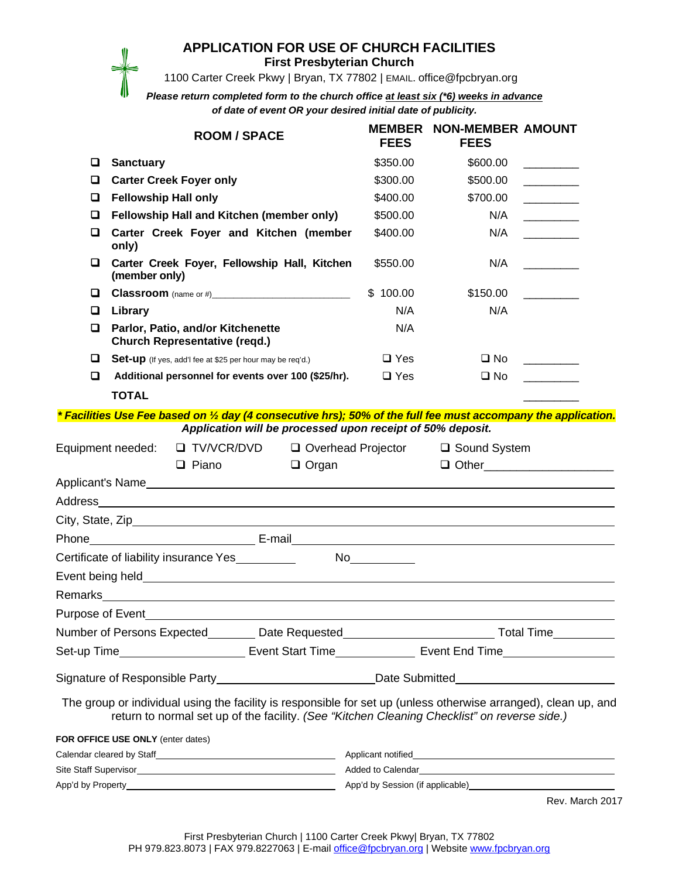## **APPLICATION FOR USE OF CHURCH FACILITIES**

**First Presbyterian Church**

1100 Carter Creek Pkwy | Bryan, TX 77802 | EMAIL. office@fpcbryan.org

*Please return completed form to the church office at least six (\*6) weeks in advance of date of event OR your desired initial date of publicity.*

|                                                                                                      | <b>ROOM / SPACE</b>                                                                                                                                                                                             | <b>FEES</b>          | <b>MEMBER NON-MEMBER AMOUNT</b><br><b>FEES</b> |                                 |  |
|------------------------------------------------------------------------------------------------------|-----------------------------------------------------------------------------------------------------------------------------------------------------------------------------------------------------------------|----------------------|------------------------------------------------|---------------------------------|--|
| ◘                                                                                                    | <b>Sanctuary</b>                                                                                                                                                                                                | \$350.00             | \$600.00                                       | and the control of the con-     |  |
| O                                                                                                    | <b>Carter Creek Foyer only</b>                                                                                                                                                                                  | \$300.00             | \$500.00                                       |                                 |  |
| u                                                                                                    | <b>Fellowship Hall only</b>                                                                                                                                                                                     | \$400.00             | \$700.00                                       |                                 |  |
| □                                                                                                    | Fellowship Hall and Kitchen (member only)                                                                                                                                                                       | \$500.00             | N/A                                            |                                 |  |
| ❏                                                                                                    | Carter Creek Foyer and Kitchen (member<br>only)                                                                                                                                                                 | \$400.00             | N/A                                            |                                 |  |
| o                                                                                                    | Carter Creek Foyer, Fellowship Hall, Kitchen<br>(member only)                                                                                                                                                   | \$550.00             | N/A                                            |                                 |  |
| O                                                                                                    | <b>Classroom</b> (name or #)______________________________                                                                                                                                                      | \$100.00             | \$150.00                                       |                                 |  |
| O                                                                                                    | Library                                                                                                                                                                                                         | N/A                  | N/A                                            |                                 |  |
| □                                                                                                    | Parlor, Patio, and/or Kitchenette<br><b>Church Representative (regd.)</b>                                                                                                                                       | N/A                  |                                                |                                 |  |
| O                                                                                                    | Set-up (If yes, add'I fee at \$25 per hour may be req'd.)                                                                                                                                                       | $\square$ Yes        | $\square$ No                                   |                                 |  |
| О                                                                                                    | Additional personnel for events over 100 (\$25/hr).                                                                                                                                                             | $\Box$ Yes           | $\square$ No                                   |                                 |  |
|                                                                                                      | <b>TOTAL</b>                                                                                                                                                                                                    |                      |                                                |                                 |  |
|                                                                                                      | * Facilities Use Fee based on 1/2 day (4 consecutive hrs); 50% of the full fee must accompany the application.                                                                                                  |                      |                                                |                                 |  |
|                                                                                                      | Application will be processed upon receipt of 50% deposit.                                                                                                                                                      |                      |                                                |                                 |  |
| Equipment needed:<br>□ TV/VCR/DVD                                                                    |                                                                                                                                                                                                                 | □ Overhead Projector | □ Sound System                                 |                                 |  |
|                                                                                                      | $\Box$ Piano<br>$\Box$ Organ                                                                                                                                                                                    |                      |                                                | □ Other________________________ |  |
|                                                                                                      |                                                                                                                                                                                                                 |                      |                                                |                                 |  |
| Address                                                                                              | <u> 1989 - Johann Stein, fransk politik (f. 1989)</u>                                                                                                                                                           |                      |                                                |                                 |  |
|                                                                                                      |                                                                                                                                                                                                                 |                      |                                                |                                 |  |
|                                                                                                      |                                                                                                                                                                                                                 |                      |                                                |                                 |  |
|                                                                                                      |                                                                                                                                                                                                                 |                      |                                                |                                 |  |
|                                                                                                      | Event being held <b>Event being held</b>                                                                                                                                                                        |                      |                                                |                                 |  |
|                                                                                                      |                                                                                                                                                                                                                 |                      |                                                |                                 |  |
| Purpose of Event                                                                                     |                                                                                                                                                                                                                 |                      |                                                |                                 |  |
| Number of Persons Expected_________Date Requested______________________________Total Time___________ |                                                                                                                                                                                                                 |                      |                                                |                                 |  |
| Set-up Time_____________________________Event Start Time_________________________                    |                                                                                                                                                                                                                 |                      |                                                |                                 |  |
| Signature of Responsible Party_____________________________Date Submitted__________________________  |                                                                                                                                                                                                                 |                      |                                                |                                 |  |
|                                                                                                      | The group or individual using the facility is responsible for set up (unless otherwise arranged), clean up, and<br>return to normal set up of the facility. (See "Kitchen Cleaning Checklist" on reverse side.) |                      |                                                |                                 |  |
|                                                                                                      | FOR OFFICE USE ONLY (enter dates)                                                                                                                                                                               |                      |                                                |                                 |  |
|                                                                                                      |                                                                                                                                                                                                                 |                      |                                                |                                 |  |
|                                                                                                      |                                                                                                                                                                                                                 |                      |                                                |                                 |  |
|                                                                                                      |                                                                                                                                                                                                                 |                      |                                                |                                 |  |

Rev. March 2017